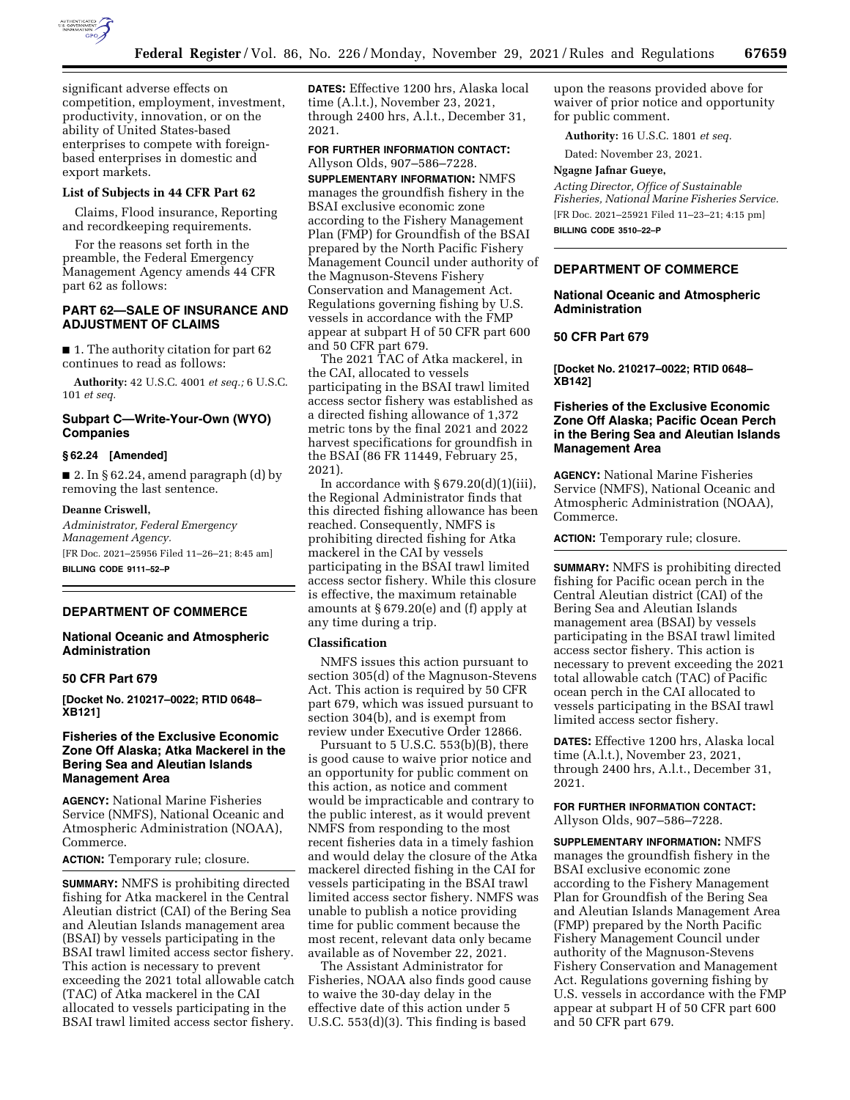

significant adverse effects on competition, employment, investment, productivity, innovation, or on the ability of United States-based enterprises to compete with foreignbased enterprises in domestic and export markets.

#### **List of Subjects in 44 CFR Part 62**

Claims, Flood insurance, Reporting and recordkeeping requirements.

For the reasons set forth in the preamble, the Federal Emergency Management Agency amends 44 CFR part 62 as follows:

# **PART 62—SALE OF INSURANCE AND ADJUSTMENT OF CLAIMS**

■ 1. The authority citation for part 62 continues to read as follows:

**Authority:** 42 U.S.C. 4001 *et seq.;* 6 U.S.C. 101 *et seq.* 

# **Subpart C—Write-Your-Own (WYO) Companies**

# **§ 62.24 [Amended]**

■ 2. In § 62.24, amend paragraph (d) by removing the last sentence.

### **Deanne Criswell,**

*Administrator, Federal Emergency Management Agency.*  [FR Doc. 2021–25956 Filed 11–26–21; 8:45 am] **BILLING CODE 9111–52–P** 

### **DEPARTMENT OF COMMERCE**

### **National Oceanic and Atmospheric Administration**

## **50 CFR Part 679**

**[Docket No. 210217–0022; RTID 0648– XB121]** 

# **Fisheries of the Exclusive Economic Zone Off Alaska; Atka Mackerel in the Bering Sea and Aleutian Islands Management Area**

**AGENCY:** National Marine Fisheries Service (NMFS), National Oceanic and Atmospheric Administration (NOAA), Commerce.

**ACTION:** Temporary rule; closure.

**SUMMARY:** NMFS is prohibiting directed fishing for Atka mackerel in the Central Aleutian district (CAI) of the Bering Sea and Aleutian Islands management area (BSAI) by vessels participating in the BSAI trawl limited access sector fishery. This action is necessary to prevent exceeding the 2021 total allowable catch (TAC) of Atka mackerel in the CAI allocated to vessels participating in the BSAI trawl limited access sector fishery.

**DATES:** Effective 1200 hrs, Alaska local time (A.l.t.), November 23, 2021, through 2400 hrs, A.l.t., December 31, 2021.

### **FOR FURTHER INFORMATION CONTACT:**  Allyson Olds, 907–586–7228.

**SUPPLEMENTARY INFORMATION:** NMFS manages the groundfish fishery in the BSAI exclusive economic zone according to the Fishery Management Plan (FMP) for Groundfish of the BSAI prepared by the North Pacific Fishery Management Council under authority of the Magnuson-Stevens Fishery Conservation and Management Act. Regulations governing fishing by U.S. vessels in accordance with the FMP appear at subpart H of 50 CFR part 600 and 50 CFR part 679.

The 2021 TAC of Atka mackerel, in the CAI, allocated to vessels participating in the BSAI trawl limited access sector fishery was established as a directed fishing allowance of 1,372 metric tons by the final 2021 and 2022 harvest specifications for groundfish in the BSAI (86 FR 11449, February 25, 2021).

In accordance with  $\S 679.20(d)(1)(iii)$ , the Regional Administrator finds that this directed fishing allowance has been reached. Consequently, NMFS is prohibiting directed fishing for Atka mackerel in the CAI by vessels participating in the BSAI trawl limited access sector fishery. While this closure is effective, the maximum retainable amounts at  $§ 679.20(e)$  and (f) apply at any time during a trip.

#### **Classification**

NMFS issues this action pursuant to section 305(d) of the Magnuson-Stevens Act. This action is required by 50 CFR part 679, which was issued pursuant to section 304(b), and is exempt from review under Executive Order 12866.

Pursuant to 5 U.S.C. 553(b)(B), there is good cause to waive prior notice and an opportunity for public comment on this action, as notice and comment would be impracticable and contrary to the public interest, as it would prevent NMFS from responding to the most recent fisheries data in a timely fashion and would delay the closure of the Atka mackerel directed fishing in the CAI for vessels participating in the BSAI trawl limited access sector fishery. NMFS was unable to publish a notice providing time for public comment because the most recent, relevant data only became available as of November 22, 2021.

The Assistant Administrator for Fisheries, NOAA also finds good cause to waive the 30-day delay in the effective date of this action under 5 U.S.C. 553(d)(3). This finding is based

upon the reasons provided above for waiver of prior notice and opportunity for public comment.

**Authority:** 16 U.S.C. 1801 *et seq.* 

Dated: November 23, 2021.

# **Ngagne Jafnar Gueye,**

*Acting Director, Office of Sustainable Fisheries, National Marine Fisheries Service.*  [FR Doc. 2021–25921 Filed 11–23–21; 4:15 pm] **BILLING CODE 3510–22–P** 

# **DEPARTMENT OF COMMERCE**

## **National Oceanic and Atmospheric Administration**

### **50 CFR Part 679**

**[Docket No. 210217–0022; RTID 0648– XB142]** 

## **Fisheries of the Exclusive Economic Zone Off Alaska; Pacific Ocean Perch in the Bering Sea and Aleutian Islands Management Area**

**AGENCY:** National Marine Fisheries Service (NMFS), National Oceanic and Atmospheric Administration (NOAA), Commerce.

**ACTION:** Temporary rule; closure.

**SUMMARY:** NMFS is prohibiting directed fishing for Pacific ocean perch in the Central Aleutian district (CAI) of the Bering Sea and Aleutian Islands management area (BSAI) by vessels participating in the BSAI trawl limited access sector fishery. This action is necessary to prevent exceeding the 2021 total allowable catch (TAC) of Pacific ocean perch in the CAI allocated to vessels participating in the BSAI trawl limited access sector fishery.

**DATES:** Effective 1200 hrs, Alaska local time (A.l.t.), November 23, 2021, through 2400 hrs, A.l.t., December 31, 2021.

### **FOR FURTHER INFORMATION CONTACT:**  Allyson Olds, 907–586–7228.

**SUPPLEMENTARY INFORMATION:** NMFS manages the groundfish fishery in the BSAI exclusive economic zone according to the Fishery Management Plan for Groundfish of the Bering Sea and Aleutian Islands Management Area (FMP) prepared by the North Pacific Fishery Management Council under authority of the Magnuson-Stevens Fishery Conservation and Management Act. Regulations governing fishing by U.S. vessels in accordance with the FMP appear at subpart H of 50 CFR part 600 and 50 CFR part 679.